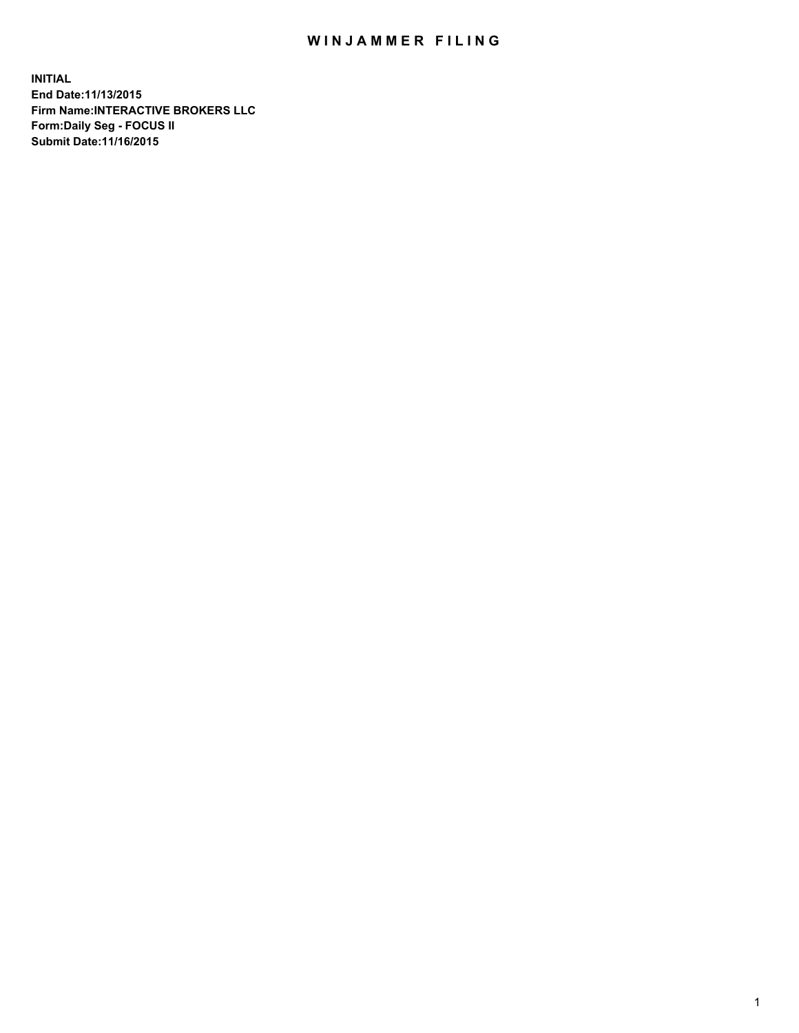## WIN JAMMER FILING

**INITIAL End Date:11/13/2015 Firm Name:INTERACTIVE BROKERS LLC Form:Daily Seg - FOCUS II Submit Date:11/16/2015**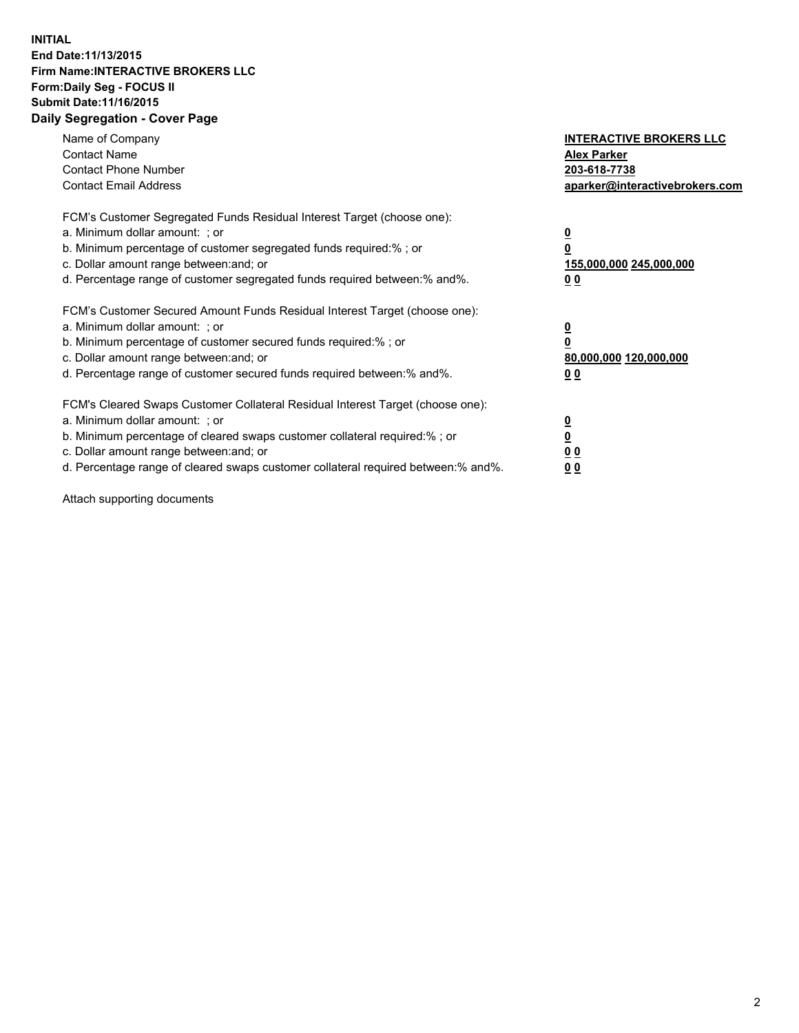## **INITIAL End Date:11/13/2015 Firm Name:INTERACTIVE BROKERS LLC Form:Daily Seg - FOCUS II Submit Date:11/16/2015 Daily Segregation - Cover Page**

| Name of Company<br><b>Contact Name</b><br><b>Contact Phone Number</b><br><b>Contact Email Address</b>                                                                                                                                                                                                                          | <b>INTERACTIVE BROKERS LLC</b><br><b>Alex Parker</b><br>203-618-7738<br>aparker@interactivebrokers.com |
|--------------------------------------------------------------------------------------------------------------------------------------------------------------------------------------------------------------------------------------------------------------------------------------------------------------------------------|--------------------------------------------------------------------------------------------------------|
| FCM's Customer Segregated Funds Residual Interest Target (choose one):<br>a. Minimum dollar amount: ; or<br>b. Minimum percentage of customer segregated funds required:% ; or<br>c. Dollar amount range between: and; or<br>d. Percentage range of customer segregated funds required between:% and%.                         | <u>0</u><br><u>155,000,000 245,000,000</u><br>00                                                       |
| FCM's Customer Secured Amount Funds Residual Interest Target (choose one):<br>a. Minimum dollar amount: ; or<br>b. Minimum percentage of customer secured funds required:%; or<br>c. Dollar amount range between: and; or<br>d. Percentage range of customer secured funds required between: % and %.                          | <u>0</u><br>80,000,000 120,000,000<br>0 <sub>0</sub>                                                   |
| FCM's Cleared Swaps Customer Collateral Residual Interest Target (choose one):<br>a. Minimum dollar amount: ; or<br>b. Minimum percentage of cleared swaps customer collateral required:% ; or<br>c. Dollar amount range between: and; or<br>d. Percentage range of cleared swaps customer collateral required between:% and%. | <u>0</u><br>0 <sub>0</sub><br><u>0 0</u>                                                               |

Attach supporting documents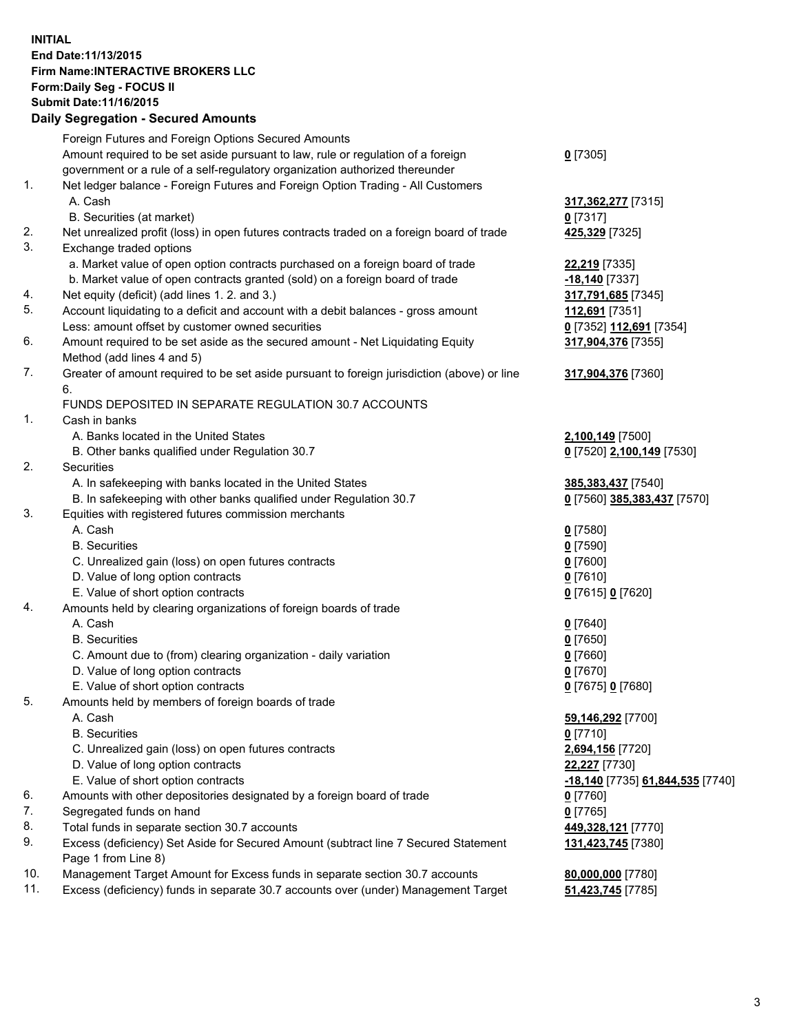## **INITIAL End Date:11/13/2015 Firm Name:INTERACTIVE BROKERS LLC Form:Daily Seg - FOCUS II Submit Date:11/16/2015 Daily Segregation - Secured Amounts**

|     | Daily Segregation - Secured Amounts                                                               |                                  |
|-----|---------------------------------------------------------------------------------------------------|----------------------------------|
|     | Foreign Futures and Foreign Options Secured Amounts                                               |                                  |
|     | Amount required to be set aside pursuant to law, rule or regulation of a foreign                  | $0$ [7305]                       |
|     | government or a rule of a self-regulatory organization authorized thereunder                      |                                  |
| 1.  | Net ledger balance - Foreign Futures and Foreign Option Trading - All Customers                   |                                  |
|     | A. Cash                                                                                           | 317, 362, 277 [7315]             |
|     | B. Securities (at market)                                                                         | $0$ [7317]                       |
| 2.  | Net unrealized profit (loss) in open futures contracts traded on a foreign board of trade         | 425,329 [7325]                   |
| 3.  | Exchange traded options                                                                           |                                  |
|     | a. Market value of open option contracts purchased on a foreign board of trade                    |                                  |
|     |                                                                                                   | <b>22,219</b> [7335]             |
|     | b. Market value of open contracts granted (sold) on a foreign board of trade                      | -18,140 [7337]                   |
| 4.  | Net equity (deficit) (add lines 1. 2. and 3.)                                                     | 317,791,685 [7345]               |
| 5.  | Account liquidating to a deficit and account with a debit balances - gross amount                 | 112,691 [7351]                   |
|     | Less: amount offset by customer owned securities                                                  | 0 [7352] 112,691 [7354]          |
| 6.  | Amount required to be set aside as the secured amount - Net Liquidating Equity                    | 317,904,376 [7355]               |
|     | Method (add lines 4 and 5)                                                                        |                                  |
| 7.  | Greater of amount required to be set aside pursuant to foreign jurisdiction (above) or line<br>6. | 317,904,376 [7360]               |
|     | FUNDS DEPOSITED IN SEPARATE REGULATION 30.7 ACCOUNTS                                              |                                  |
| 1.  | Cash in banks                                                                                     |                                  |
|     | A. Banks located in the United States                                                             |                                  |
|     |                                                                                                   | 2,100,149 [7500]                 |
| 2.  | B. Other banks qualified under Regulation 30.7<br><b>Securities</b>                               | 0 [7520] 2,100,149 [7530]        |
|     |                                                                                                   |                                  |
|     | A. In safekeeping with banks located in the United States                                         | 385, 383, 437 [7540]             |
|     | B. In safekeeping with other banks qualified under Regulation 30.7                                | 0 [7560] 385,383,437 [7570]      |
| 3.  | Equities with registered futures commission merchants                                             |                                  |
|     | A. Cash                                                                                           | $0$ [7580]                       |
|     | <b>B.</b> Securities                                                                              | $0$ [7590]                       |
|     | C. Unrealized gain (loss) on open futures contracts                                               | $0$ [7600]                       |
|     | D. Value of long option contracts                                                                 | $0$ [7610]                       |
|     | E. Value of short option contracts                                                                | 0 [7615] 0 [7620]                |
| 4.  | Amounts held by clearing organizations of foreign boards of trade                                 |                                  |
|     | A. Cash                                                                                           | $0$ [7640]                       |
|     | <b>B.</b> Securities                                                                              | $0$ [7650]                       |
|     | C. Amount due to (from) clearing organization - daily variation                                   | $0$ [7660]                       |
|     | D. Value of long option contracts                                                                 | $0$ [7670]                       |
|     | E. Value of short option contracts                                                                | 0 [7675] 0 [7680]                |
| 5.  | Amounts held by members of foreign boards of trade                                                |                                  |
|     | A. Cash                                                                                           | 59,146,292 [7700]                |
|     | <b>B.</b> Securities                                                                              | $0$ [7710]                       |
|     | C. Unrealized gain (loss) on open futures contracts                                               | 2,694,156 [7720]                 |
|     | D. Value of long option contracts                                                                 | 22,227 [7730]                    |
|     | E. Value of short option contracts                                                                | -18,140 [7735] 61,844,535 [7740] |
| 6.  | Amounts with other depositories designated by a foreign board of trade                            | 0 [7760]                         |
| 7.  | Segregated funds on hand                                                                          | $0$ [7765]                       |
| 8.  | Total funds in separate section 30.7 accounts                                                     | 449,328,121 [7770]               |
| 9.  | Excess (deficiency) Set Aside for Secured Amount (subtract line 7 Secured Statement               | 131,423,745 [7380]               |
|     | Page 1 from Line 8)                                                                               |                                  |
| 10. | Management Target Amount for Excess funds in separate section 30.7 accounts                       | 80,000,000 [7780]                |
| 11. | Excess (deficiency) funds in separate 30.7 accounts over (under) Management Target                | 51,423,745 [7785]                |
|     |                                                                                                   |                                  |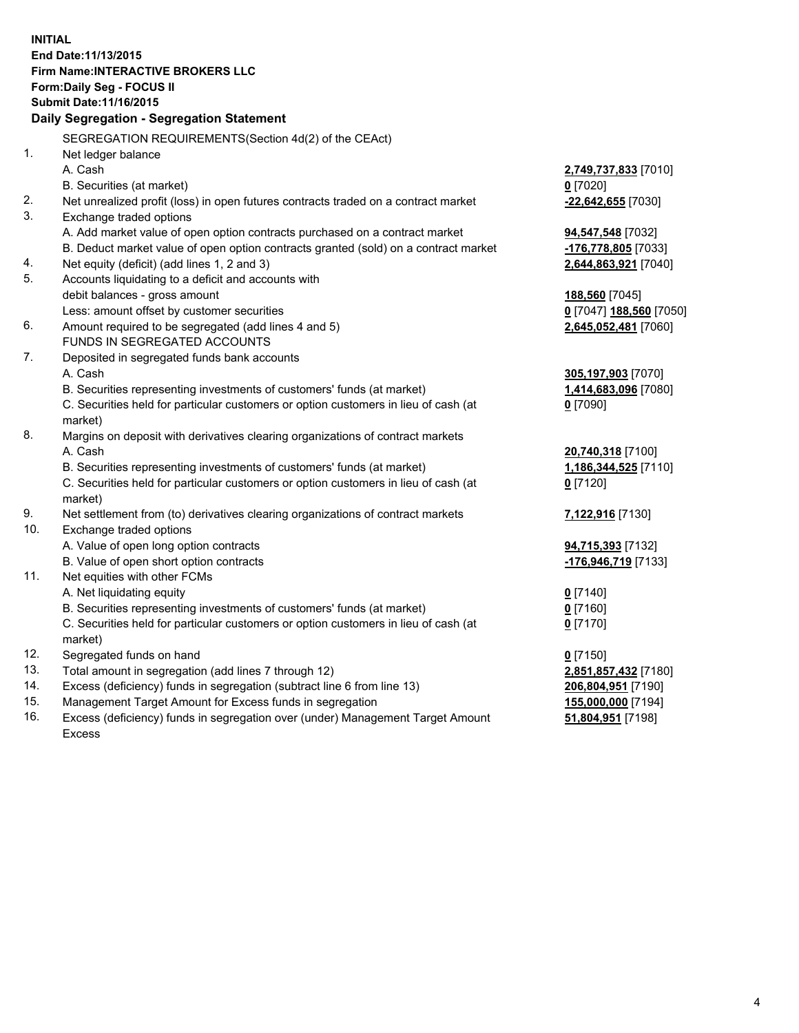**INITIAL End Date:11/13/2015 Firm Name:INTERACTIVE BROKERS LLC Form:Daily Seg - FOCUS II Submit Date:11/16/2015 Daily Segregation - Segregation Statement** SEGREGATION REQUIREMENTS(Section 4d(2) of the CEAct) 1. Net ledger balance A. Cash **2,749,737,833** [7010] B. Securities (at market) **0** [7020] 2. Net unrealized profit (loss) in open futures contracts traded on a contract market **-22,642,655** [7030] 3. Exchange traded options A. Add market value of open option contracts purchased on a contract market **94,547,548** [7032] B. Deduct market value of open option contracts granted (sold) on a contract market **-176,778,805** [7033] 4. Net equity (deficit) (add lines 1, 2 and 3) **2,644,863,921** [7040] 5. Accounts liquidating to a deficit and accounts with debit balances - gross amount **188,560** [7045] Less: amount offset by customer securities **0** [7047] **188,560** [7050] 6. Amount required to be segregated (add lines 4 and 5) **2,645,052,481** [7060] FUNDS IN SEGREGATED ACCOUNTS 7. Deposited in segregated funds bank accounts A. Cash **305,197,903** [7070] B. Securities representing investments of customers' funds (at market) **1,414,683,096** [7080] C. Securities held for particular customers or option customers in lieu of cash (at market) **0** [7090] 8. Margins on deposit with derivatives clearing organizations of contract markets A. Cash **20,740,318** [7100] B. Securities representing investments of customers' funds (at market) **1,186,344,525** [7110] C. Securities held for particular customers or option customers in lieu of cash (at market) **0** [7120] 9. Net settlement from (to) derivatives clearing organizations of contract markets **7,122,916** [7130] 10. Exchange traded options A. Value of open long option contracts **94,715,393** [7132] B. Value of open short option contracts **-176,946,719** [7133] 11. Net equities with other FCMs A. Net liquidating equity **0** [7140] B. Securities representing investments of customers' funds (at market) **0** [7160] C. Securities held for particular customers or option customers in lieu of cash (at market) **0** [7170] 12. Segregated funds on hand **0** [7150] 13. Total amount in segregation (add lines 7 through 12) **2,851,857,432** [7180] 14. Excess (deficiency) funds in segregation (subtract line 6 from line 13) **206,804,951** [7190] 15. Management Target Amount for Excess funds in segregation **155,000,000** [7194] **51,804,951** [7198]

16. Excess (deficiency) funds in segregation over (under) Management Target Amount Excess